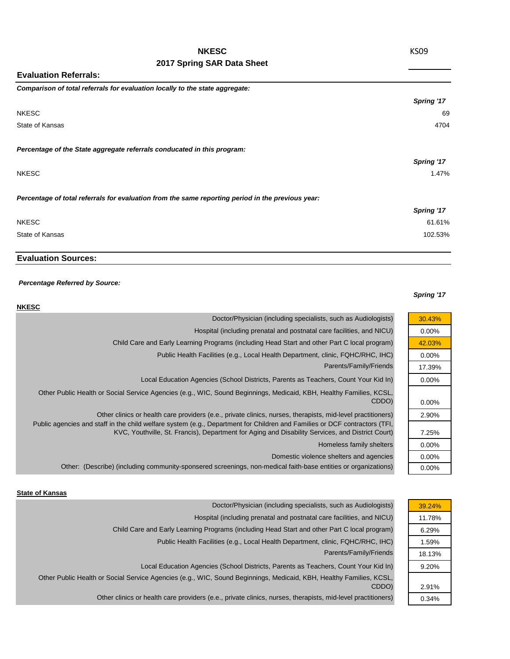# **NKESC**

## **2017 Spring SAR Data Sheet**

**Evaluation Referrals:**

| Comparison of total referrals for evaluation locally to the state aggregate:                      |            |
|---------------------------------------------------------------------------------------------------|------------|
|                                                                                                   | Spring '17 |
| <b>NKESC</b>                                                                                      | 69         |
| State of Kansas                                                                                   | 4704       |
|                                                                                                   |            |
| Percentage of the State aggregate referrals conducated in this program:                           |            |
|                                                                                                   | Spring '17 |
| <b>NKESC</b>                                                                                      | 1.47%      |
| Percentage of total referrals for evaluation from the same reporting period in the previous year: |            |
|                                                                                                   | Spring '17 |
| <b>NKESC</b>                                                                                      | 61.61%     |
| State of Kansas                                                                                   | 102.53%    |
|                                                                                                   |            |

## **Evaluation Sources:**

#### *Percentage Referred by Source:*

### *Spring '17*

| <b>NKESC</b>                                                                                                                                                                                                                   |          |
|--------------------------------------------------------------------------------------------------------------------------------------------------------------------------------------------------------------------------------|----------|
| Doctor/Physician (including specialists, such as Audiologists)                                                                                                                                                                 | 30.43%   |
| Hospital (including prenatal and postnatal care facilities, and NICU)                                                                                                                                                          | $0.00\%$ |
| Child Care and Early Learning Programs (including Head Start and other Part C local program)                                                                                                                                   | 42.03%   |
| Public Health Facilities (e.g., Local Health Department, clinic, FQHC/RHC, IHC)                                                                                                                                                | $0.00\%$ |
| Parents/Family/Friends                                                                                                                                                                                                         | 17.39%   |
| Local Education Agencies (School Districts, Parents as Teachers, Count Your Kid In)                                                                                                                                            | $0.00\%$ |
| Other Public Health or Social Service Agencies (e.g., WIC, Sound Beginnings, Medicaid, KBH, Healthy Families, KCSL,<br>CDDO)                                                                                                   | 0.00%    |
| Other clinics or health care providers (e.e., private clinics, nurses, therapists, mid-level practitioners)                                                                                                                    | 2.90%    |
| Public agencies and staff in the child welfare system (e.g., Department for Children and Families or DCF contractors (TFI,<br>KVC, Youthville, St. Francis), Department for Aging and Disability Services, and District Court) | 7.25%    |
| Homeless family shelters                                                                                                                                                                                                       | $0.00\%$ |
| Domestic violence shelters and agencies                                                                                                                                                                                        | $0.00\%$ |
| Other: (Describe) (including community-sponsered screenings, non-medical faith-base entities or organizations)                                                                                                                 | $0.00\%$ |

### **State of Kansas**

| Doctor/Physician (including specialists, such as Audiologists)                                                      | 39.24% |
|---------------------------------------------------------------------------------------------------------------------|--------|
| Hospital (including prenatal and postnatal care facilities, and NICU)                                               | 11.78% |
| Child Care and Early Learning Programs (including Head Start and other Part C local program)                        | 6.29%  |
| Public Health Facilities (e.g., Local Health Department, clinic, FQHC/RHC, IHC)                                     | 1.59%  |
| Parents/Family/Friends                                                                                              | 18.13% |
| Local Education Agencies (School Districts, Parents as Teachers, Count Your Kid In)                                 | 9.20%  |
| Other Public Health or Social Service Agencies (e.g., WIC, Sound Beginnings, Medicaid, KBH, Healthy Families, KCSL, |        |
| CDDO)                                                                                                               | 2.91%  |
| Other clinics or health care providers (e.e., private clinics, nurses, therapists, mid-level practitioners)         | 0.34%  |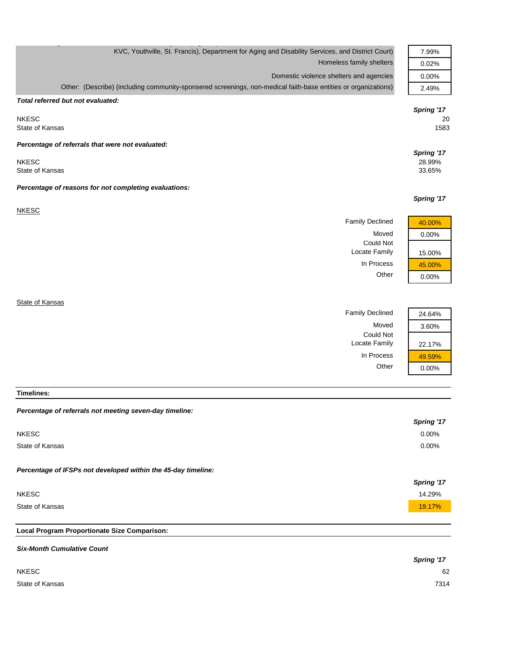| KVC, Youthville, St. Francis), Department for Aging and Disability Services, and District Court)               | 7.99%      |
|----------------------------------------------------------------------------------------------------------------|------------|
| Homeless family shelters                                                                                       | 0.02%      |
| Domestic violence shelters and agencies                                                                        | 0.00%      |
| Other: (Describe) (including community-sponsered screenings, non-medical faith-base entities or organizations) | 2.49%      |
| Total referred but not evaluated:                                                                              |            |
|                                                                                                                | Spring '17 |
| <b>NKESC</b>                                                                                                   | 20         |
| State of Kansas                                                                                                | 1583       |
| Percentage of referrals that were not evaluated:                                                               |            |
|                                                                                                                | Spring '17 |
| <b>NKESC</b>                                                                                                   | 28.99%     |
| State of Kansas                                                                                                | 33.65%     |
| Percentage of reasons for not completing evaluations:                                                          |            |
|                                                                                                                | Spring '17 |
| <b>NKESC</b>                                                                                                   |            |
| <b>Family Declined</b>                                                                                         | 40.00%     |
| Moved                                                                                                          | 0.00%      |
| <b>Could Not</b>                                                                                               |            |
| Locate Family                                                                                                  | 15.00%     |
| In Process                                                                                                     | 45.00%     |
| Other                                                                                                          | 0.00%      |
|                                                                                                                |            |
| State of Kansas                                                                                                |            |
| <b>Family Declined</b>                                                                                         | 24.64%     |
| Moved                                                                                                          | 3.60%      |
| <b>Could Not</b>                                                                                               |            |

**Timelines:**

| Percentage of referrals not meeting seven-day timeline:       |                   |
|---------------------------------------------------------------|-------------------|
|                                                               | <b>Spring '17</b> |
| <b>NKESC</b>                                                  | $0.00\%$          |
| State of Kansas                                               | $0.00\%$          |
| Percentage of IFSPs not developed within the 45-day timeline: |                   |
|                                                               | Spring '17        |
| <b>NKESC</b>                                                  | 14.29%            |
| State of Kansas                                               | 19.17%            |
|                                                               |                   |
| Local Program Proportionate Size Comparison:                  |                   |

Locate Family | 22.17% In Process  $\frac{49.59\%}{0.00\%}$ 

 $0.00%$ 

| <b>Six-Month Cumulative Count</b> |                   |
|-----------------------------------|-------------------|
|                                   | <b>Spring '17</b> |
| <b>NKESC</b>                      | 62                |
| State of Kansas                   | 7314              |